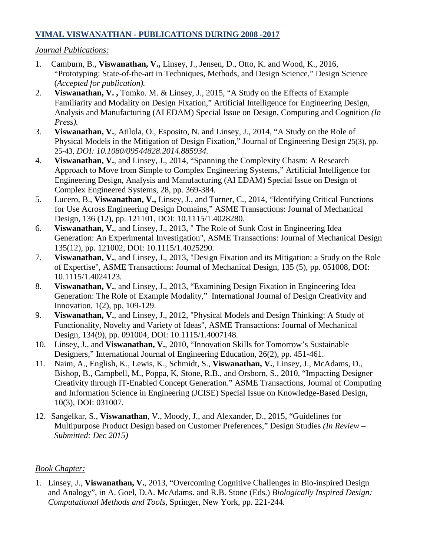## **VIMAL VISWANATHAN - PUBLICATIONS DURING 2008 -2017**

#### *Journal Publications:*

- 1. Camburn, B., **Viswanathan, V.,** Linsey, J., Jensen, D., Otto, K. and Wood, K., 2016, "Prototyping: State-of-the-art in Techniques, Methods, and Design Science," Design Science (*Accepted for publication).*
- 2. **Viswanathan, V. ,** Tomko. M. & Linsey, J., 2015, "A Study on the Effects of Example Familiarity and Modality on Design Fixation," Artificial Intelligence for Engineering Design, Analysis and Manufacturing (AI EDAM) Special Issue on Design, Computing and Cognition *(In Press).*
- 3. **Viswanathan, V.**, Atilola, O., Esposito, N. and Linsey, J., 2014, "A Study on the Role of Physical Models in the Mitigation of Design Fixation," Journal of Engineering Design 25(3), pp. 25-43, *DOI: 10.1080/09544828.2014.885934.*
- 4. **Viswanathan, V.**, and Linsey, J., 2014, "Spanning the Complexity Chasm: A Research Approach to Move from Simple to Complex Engineering Systems," Artificial Intelligence for Engineering Design, Analysis and Manufacturing (AI EDAM) Special Issue on Design of Complex Engineered Systems, 28, pp. 369-384*.*
- 5. Lucero, B., **Viswanathan, V.,** Linsey, J., and Turner, C., 2014, "Identifying Critical Functions for Use Across Engineering Design Domains," ASME Transactions: Journal of Mechanical Design, 136 (12), pp. 121101, DOI: 10.1115/1.4028280*.*
- 6. **Viswanathan, V.**, and Linsey, J., 2013, " The Role of Sunk Cost in Engineering Idea Generation: An Experimental Investigation", ASME Transactions: Journal of Mechanical Design 135(12), pp. 121002, DOI: 10.1115/1.4025290*.*
- 7. **Viswanathan, V.**, and Linsey, J., 2013, "Design Fixation and its Mitigation: a Study on the Role of Expertise", ASME Transactions: Journal of Mechanical Design, 135 (5), pp. 051008, DOI: 10.1115/1.4024123*.*
- 8. **Viswanathan, V.**, and Linsey, J., 2013, "Examining Design Fixation in Engineering Idea Generation: The Role of Example Modality," International Journal of Design Creativity and Innovation, 1(2), pp. 109-129.
- 9. **Viswanathan, V.**, and Linsey, J., 2012, "Physical Models and Design Thinking: A Study of Functionality, Novelty and Variety of Ideas", ASME Transactions: Journal of Mechanical Design, 134(9), pp. 091004, DOI: 10.1115/1.4007148*.*
- 10. Linsey, J., and **Viswanathan, V.**, 2010, "Innovation Skills for Tomorrow's Sustainable Designers," International Journal of Engineering Education, 26(2), pp. 451-461.
- 11. Naim, A., English, K., Lewis, K., Schmidt, S., **Viswanathan, V.**, Linsey, J., McAdams, D., Bishop, B., Campbell, M., Poppa, K, Stone, R.B., and Orsborn, S., 2010, "Impacting Designer Creativity through IT-Enabled Concept Generation." ASME Transactions, Journal of Computing and Information Science in Engineering (JCISE) Special Issue on Knowledge-Based Design, 10(3), DOI: 031007.
- 12. Sangelkar, S., **Viswanathan**, V., Moody, J., and Alexander, D., 2015, "Guidelines for Multipurpose Product Design based on Customer Preferences," Design Studies *(In Review – Submitted: Dec 2015)*

# *Book Chapter:*

1. Linsey, J., **Viswanathan, V.**, 2013, "Overcoming Cognitive Challenges in Bio-inspired Design and Analogy", in A. Goel, D.A. McAdams. and R.B. Stone (Eds.) *Biologically Inspired Design: Computational Methods and Tools,* Springer, New York, pp. 221-244*.*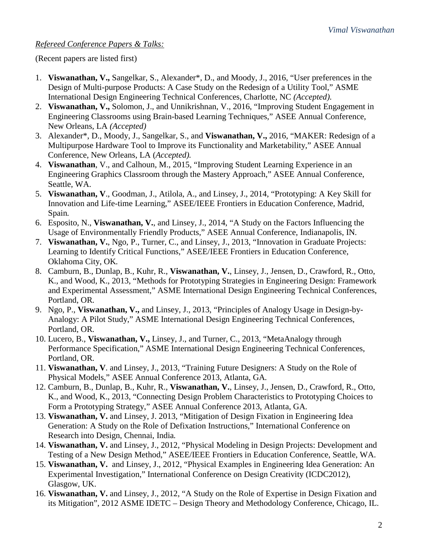## *Refereed Conference Papers & Talks:*

(Recent papers are listed first)

- 1. **Viswanathan, V.,** Sangelkar, S., Alexander\*, D., and Moody, J., 2016, "User preferences in the Design of Multi-purpose Products: A Case Study on the Redesign of a Utility Tool," ASME International Design Engineering Technical Conferences, Charlotte, NC *(Accepted).*
- 2. **Viswanathan, V.,** Solomon, J., and Unnikrishnan, V., 2016, "Improving Student Engagement in Engineering Classrooms using Brain-based Learning Techniques," ASEE Annual Conference, New Orleans, LA *(Accepted)*
- 3. Alexander\*, D., Moody, J., Sangelkar, S., and **Viswanathan, V.,** 2016, "MAKER: Redesign of a Multipurpose Hardware Tool to Improve its Functionality and Marketability," ASEE Annual Conference, New Orleans, LA (*Accepted).*
- 4. **Viswanathan**, V., and Calhoun, M., 2015, "Improving Student Learning Experience in an Engineering Graphics Classroom through the Mastery Approach," ASEE Annual Conference, Seattle, WA.
- 5. **Viswanathan, V**., Goodman, J., Atilola, A., and Linsey, J., 2014, "Prototyping: A Key Skill for Innovation and Life-time Learning," ASEE/IEEE Frontiers in Education Conference, Madrid, Spain*.*
- 6. Esposito, N., **Viswanathan, V.**, and Linsey, J., 2014, "A Study on the Factors Influencing the Usage of Environmentally Friendly Products," ASEE Annual Conference, Indianapolis, IN*.*
- 7. **Viswanathan, V.**, Ngo, P., Turner, C., and Linsey, J., 2013, "Innovation in Graduate Projects: Learning to Identify Critical Functions," ASEE/IEEE Frontiers in Education Conference, Oklahoma City, OK*.*
- 8. Camburn, B., Dunlap, B., Kuhr, R., **Viswanathan, V.**, Linsey, J., Jensen, D., Crawford, R., Otto, K., and Wood, K., 2013, "Methods for Prototyping Strategies in Engineering Design: Framework and Experimental Assessment," ASME International Design Engineering Technical Conferences, Portland, OR*.*
- 9. Ngo, P., **Viswanathan, V.,** and Linsey, J., 2013, "Principles of Analogy Usage in Design-by-Analogy: A Pilot Study," ASME International Design Engineering Technical Conferences, Portland, OR*.*
- 10. Lucero, B., **Viswanathan, V.,** Linsey, J., and Turner, C., 2013, "MetaAnalogy through Performance Specification," ASME International Design Engineering Technical Conferences, Portland, OR*.*
- 11. **Viswanathan, V**. and Linsey, J., 2013, "Training Future Designers: A Study on the Role of Physical Models," ASEE Annual Conference 2013, Atlanta, GA*.*
- 12. Camburn, B., Dunlap, B., Kuhr, R., **Viswanathan, V.**, Linsey, J., Jensen, D., Crawford, R., Otto, K., and Wood, K., 2013, "Connecting Design Problem Characteristics to Prototyping Choices to Form a Prototyping Strategy," ASEE Annual Conference 2013, Atlanta, GA*.*
- 13. **Viswanathan, V.** and Linsey, J. 2013, "Mitigation of Design Fixation in Engineering Idea Generation: A Study on the Role of Defixation Instructions," International Conference on Research into Design, Chennai, India*.*
- 14. **Viswanathan, V.** and Linsey, J., 2012, "Physical Modeling in Design Projects: Development and Testing of a New Design Method," ASEE/IEEE Frontiers in Education Conference, Seattle, WA.
- 15. **Viswanathan, V.** and Linsey, J., 2012, "Physical Examples in Engineering Idea Generation: An Experimental Investigation," International Conference on Design Creativity (ICDC2012), Glasgow, UK.
- 16. **Viswanathan, V.** and Linsey, J., 2012, "A Study on the Role of Expertise in Design Fixation and its Mitigation", 2012 ASME IDETC – Design Theory and Methodology Conference, Chicago, IL.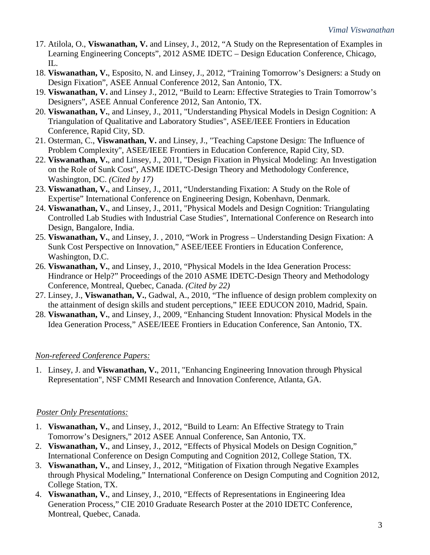- 17. Atilola, O., **Viswanathan, V.** and Linsey, J., 2012, "A Study on the Representation of Examples in Learning Engineering Concepts", 2012 ASME IDETC – Design Education Conference, Chicago, IL.
- 18. **Viswanathan, V.**, Esposito, N. and Linsey, J., 2012, "Training Tomorrow's Designers: a Study on Design Fixation", ASEE Annual Conference 2012, San Antonio, TX.
- 19. **Viswanathan, V.** and Linsey J., 2012, "Build to Learn: Effective Strategies to Train Tomorrow's Designers", ASEE Annual Conference 2012, San Antonio, TX.
- 20. **Viswanathan, V.**, and Linsey, J., 2011, "Understanding Physical Models in Design Cognition: A Triangulation of Qualitative and Laboratory Studies", ASEE/IEEE Frontiers in Education Conference, Rapid City, SD.
- 21. Osterman, C., **Viswanathan, V.** and Linsey, J., "Teaching Capstone Design: The Influence of Problem Complexity", ASEE/IEEE Frontiers in Education Conference, Rapid City, SD.
- 22. **Viswanathan, V.**, and Linsey, J., 2011, "Design Fixation in Physical Modeling: An Investigation on the Role of Sunk Cost", ASME IDETC-Design Theory and Methodology Conference, Washington, DC. *(Cited by 17)*
- 23. **Viswanathan, V.**, and Linsey, J., 2011, "Understanding Fixation: A Study on the Role of Expertise" International Conference on Engineering Design, Kobenhavn, Denmark.
- 24. **Viswanathan, V.**, and Linsey, J., 2011, "Physical Models and Design Cognition: Triangulating Controlled Lab Studies with Industrial Case Studies", International Conference on Research into Design, Bangalore, India.
- 25. **Viswanathan, V.**, and Linsey, J. , 2010, "Work in Progress Understanding Design Fixation: A Sunk Cost Perspective on Innovation," ASEE/IEEE Frontiers in Education Conference, Washington, D.C.
- 26. **Viswanathan, V.**, and Linsey, J., 2010, "Physical Models in the Idea Generation Process: Hindrance or Help?" Proceedings of the 2010 ASME IDETC-Design Theory and Methodology Conference, Montreal, Quebec, Canada. *(Cited by 22)*
- 27. Linsey, J., **Viswanathan, V.**, Gadwal, A., 2010, "The influence of design problem complexity on the attainment of design skills and student perceptions," IEEE EDUCON 2010, Madrid, Spain.
- 28. **Viswanathan, V.**, and Linsey, J., 2009, "Enhancing Student Innovation: Physical Models in the Idea Generation Process," ASEE/IEEE Frontiers in Education Conference, San Antonio, TX.

# *Non-refereed Conference Papers:*

1. Linsey, J. and **Viswanathan, V.**, 2011, "Enhancing Engineering Innovation through Physical Representation", NSF CMMI Research and Innovation Conference, Atlanta, GA.

#### *Poster Only Presentations:*

- 1. **Viswanathan, V.**, and Linsey, J., 2012, "Build to Learn: An Effective Strategy to Train Tomorrow's Designers," 2012 ASEE Annual Conference, San Antonio, TX.
- 2. **Viswanathan, V.**, and Linsey, J., 2012, "Effects of Physical Models on Design Cognition," International Conference on Design Computing and Cognition 2012, College Station, TX.
- 3. **Viswanathan, V.**, and Linsey, J., 2012, "Mitigation of Fixation through Negative Examples through Physical Modeling," International Conference on Design Computing and Cognition 2012, College Station, TX.
- 4. **Viswanathan, V.**, and Linsey, J., 2010, "Effects of Representations in Engineering Idea Generation Process," CIE 2010 Graduate Research Poster at the 2010 IDETC Conference, Montreal, Quebec, Canada.